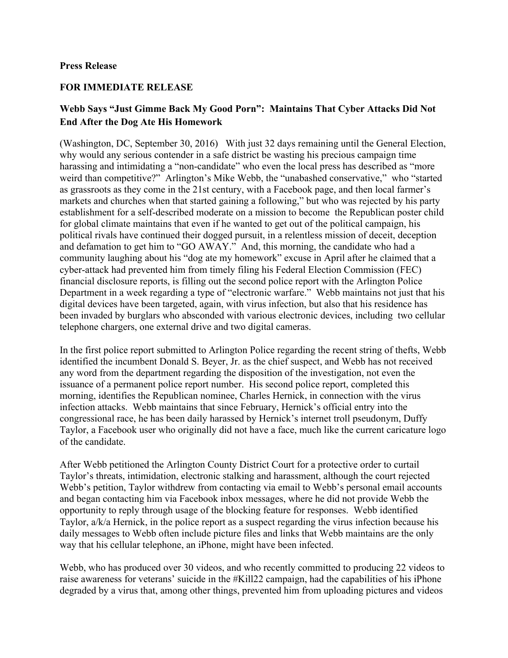## **Press Release**

## **FOR IMMEDIATE RELEASE**

## **Webb Says "Just Gimme Back My Good Porn": Maintains That Cyber Attacks Did Not End After the Dog Ate His Homework**

(Washington, DC, September 30, 2016) With just 32 days remaining until the General Election, why would any serious contender in a safe district be wasting his precious campaign time harassing and intimidating a "non-candidate" who even the local press has described as "more weird than competitive?" Arlington's Mike Webb, the "unabashed conservative," who "started as grassroots as they come in the 21st century, with a Facebook page, and then local farmer's markets and churches when that started gaining a following," but who was rejected by his party establishment for a self-described moderate on a mission to become the Republican poster child for global climate maintains that even if he wanted to get out of the political campaign, his political rivals have continued their dogged pursuit, in a relentless mission of deceit, deception and defamation to get him to "GO AWAY." And, this morning, the candidate who had a community laughing about his "dog ate my homework" excuse in April after he claimed that a cyber-attack had prevented him from timely filing his Federal Election Commission (FEC) financial disclosure reports, is filling out the second police report with the Arlington Police Department in a week regarding a type of "electronic warfare." Webb maintains not just that his digital devices have been targeted, again, with virus infection, but also that his residence has been invaded by burglars who absconded with various electronic devices, including two cellular telephone chargers, one external drive and two digital cameras.

In the first police report submitted to Arlington Police regarding the recent string of thefts, Webb identified the incumbent Donald S. Beyer, Jr. as the chief suspect, and Webb has not received any word from the department regarding the disposition of the investigation, not even the issuance of a permanent police report number. His second police report, completed this morning, identifies the Republican nominee, Charles Hernick, in connection with the virus infection attacks. Webb maintains that since February, Hernick's official entry into the congressional race, he has been daily harassed by Hernick's internet troll pseudonym, Duffy Taylor, a Facebook user who originally did not have a face, much like the current caricature logo of the candidate.

After Webb petitioned the Arlington County District Court for a protective order to curtail Taylor's threats, intimidation, electronic stalking and harassment, although the court rejected Webb's petition, Taylor withdrew from contacting via email to Webb's personal email accounts and began contacting him via Facebook inbox messages, where he did not provide Webb the opportunity to reply through usage of the blocking feature for responses. Webb identified Taylor, a/k/a Hernick, in the police report as a suspect regarding the virus infection because his daily messages to Webb often include picture files and links that Webb maintains are the only way that his cellular telephone, an iPhone, might have been infected.

Webb, who has produced over 30 videos, and who recently committed to producing 22 videos to raise awareness for veterans' suicide in the #Kill22 campaign, had the capabilities of his iPhone degraded by a virus that, among other things, prevented him from uploading pictures and videos